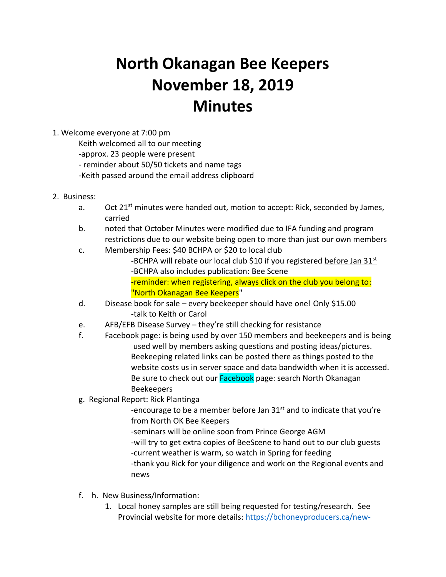# **North Okanagan Bee Keepers November 18, 2019 Minutes**

## 1. Welcome everyone at 7:00 pm

Keith welcomed all to our meeting

-approx. 23 people were present

- reminder about 50/50 tickets and name tags

-Keith passed around the email address clipboard

- 2. Business:
	- a. Oct 21<sup>st</sup> minutes were handed out, motion to accept: Rick, seconded by James, carried
	- b. noted that October Minutes were modified due to IFA funding and program restrictions due to our website being open to more than just our own members
	- c. Membership Fees: \$40 BCHPA or \$20 to local club
		- -BCHPA will rebate our local club \$10 if you registered before Jan 31<sup>st</sup> -BCHPA also includes publication: Bee Scene -reminder: when registering, always click on the club you belong to: "North Okanagan Bee Keepers"
	- d. Disease book for sale every beekeeper should have one! Only \$15.00 -talk to Keith or Carol
	- e. AFB/EFB Disease Survey they're still checking for resistance
	- f. Facebook page: is being used by over 150 members and beekeepers and is being used well by members asking questions and posting ideas/pictures. Beekeeping related links can be posted there as things posted to the website costs us in server space and data bandwidth when it is accessed. Be sure to check out our Facebook page: search North Okanagan Beekeepers
	- g. Regional Report: Rick Plantinga

-encourage to be a member before Jan  $31<sup>st</sup>$  and to indicate that you're from North OK Bee Keepers

-seminars will be online soon from Prince George AGM -will try to get extra copies of BeeScene to hand out to our club guests -current weather is warm, so watch in Spring for feeding -thank you Rick for your diligence and work on the Regional events and news

- f. h. New Business/Information:
	- 1. Local honey samples are still being requested for testing/research. See Provincial website for more details: [https://bchoneyproducers.ca/new-](https://bchoneyproducers.ca/new-website/)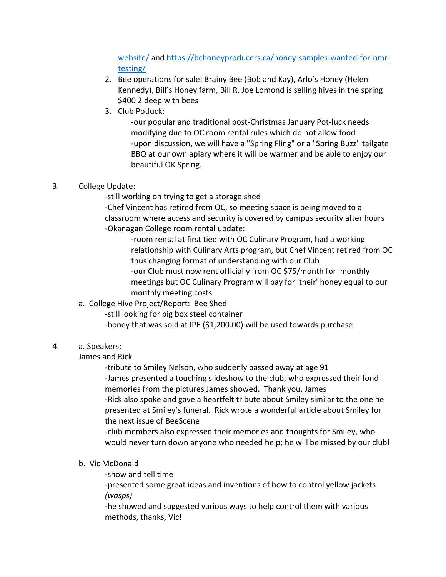[website/](https://bchoneyproducers.ca/new-website/) an[d https://bchoneyproducers.ca/honey-samples-wanted-for-nmr](https://bchoneyproducers.ca/honey-samples-wanted-for-nmr-testing/)[testing/](https://bchoneyproducers.ca/honey-samples-wanted-for-nmr-testing/)

- 2. Bee operations for sale: Brainy Bee (Bob and Kay), Arlo's Honey (Helen Kennedy), Bill's Honey farm, Bill R. Joe Lomond is selling hives in the spring \$400 2 deep with bees
- 3. Club Potluck:

-our popular and traditional post-Christmas January Pot-luck needs modifying due to OC room rental rules which do not allow food -upon discussion, we will have a "Spring Fling" or a "Spring Buzz" tailgate BBQ at our own apiary where it will be warmer and be able to enjoy our beautiful OK Spring.

## 3. College Update:

-still working on trying to get a storage shed

-Chef Vincent has retired from OC, so meeting space is being moved to a classroom where access and security is covered by campus security after hours -Okanagan College room rental update:

-room rental at first tied with OC Culinary Program, had a working relationship with Culinary Arts program, but Chef Vincent retired from OC thus changing format of understanding with our Club -our Club must now rent officially from OC \$75/month for monthly meetings but OC Culinary Program will pay for 'their' honey equal to our

- monthly meeting costs
- a. College Hive Project/Report: Bee Shed
	- -still looking for big box steel container
	- -honey that was sold at IPE (\$1,200.00) will be used towards purchase

## 4. a. Speakers:

James and Rick

-tribute to Smiley Nelson, who suddenly passed away at age 91 -James presented a touching slideshow to the club, who expressed their fond memories from the pictures James showed. Thank you, James -Rick also spoke and gave a heartfelt tribute about Smiley similar to the one he presented at Smiley's funeral. Rick wrote a wonderful article about Smiley for the next issue of BeeScene

-club members also expressed their memories and thoughts for Smiley, who would never turn down anyone who needed help; he will be missed by our club!

- b. Vic McDonald
	- -show and tell time

-presented some great ideas and inventions of how to control yellow jackets *(wasps)*

-he showed and suggested various ways to help control them with various methods, thanks, Vic!